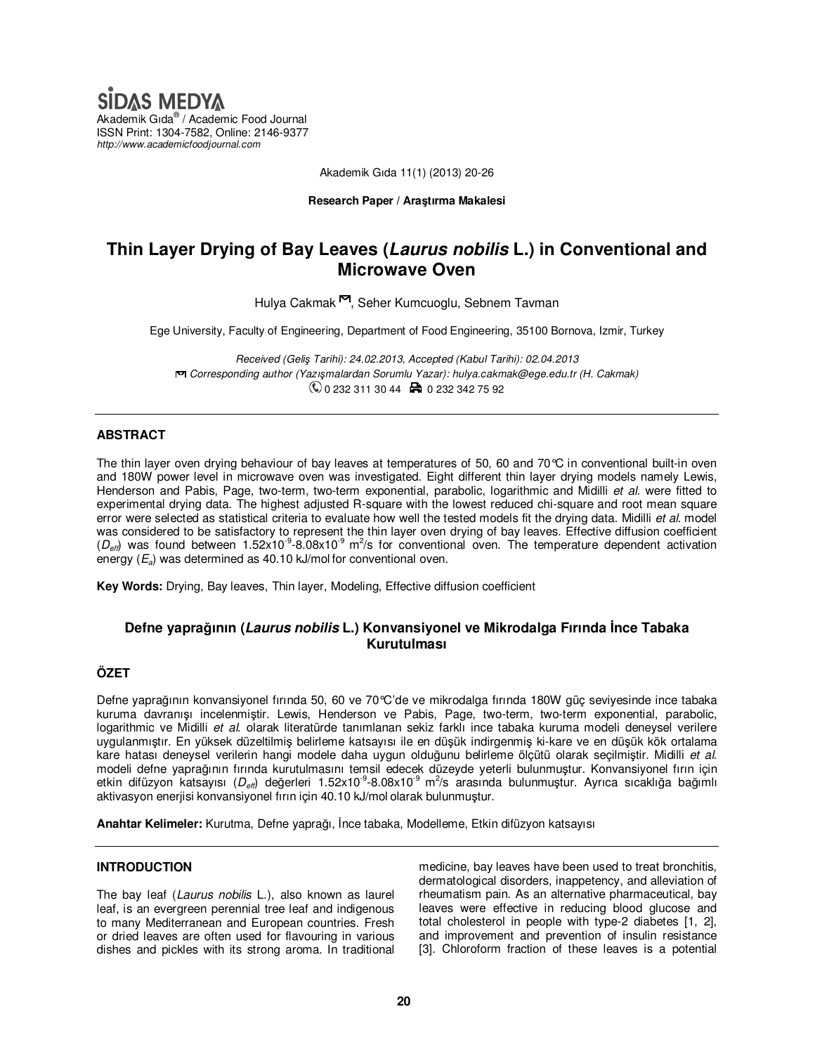# **SIDAS MEDYA**

Akademik Gıda® / Academic Food Journal ISSN Print: 1304-7582, Online: 2146-9377 *http://www.academicfoodjournal.com* 

Akademik Gıda 11(1) (2013) 20-26

#### **Research Paper / Araştırma Makalesi**

# **Thin Layer Drying of Bay Leaves (Laurus nobilis L.) in Conventional and Microwave Oven**

Hulya Cakmak<sup>m</sup>, Seher Kumcuoglu, Sebnem Tayman

Ege University, Faculty of Engineering, Department of Food Engineering, 35100 Bornova, Izmir, Turkey

*Received (Geliş Tarihi): 24.02.2013, Accepted (Kabul Tarihi): 02.04.2013 Corresponding author (Yazışmalardan Sorumlu Yazar): hulya.cakmak@ege.edu.tr (H. Cakmak)*   $\mathbb{Q}$  0 232 311 30 44  $\boxplus$  0 232 342 75 92

### **ABSTRACT**

The thin layer oven drying behaviour of bay leaves at temperatures of 50, 60 and 70°C in conventional built-in oven and 180W power level in microwave oven was investigated. Eight different thin layer drying models namely Lewis, Henderson and Pabis, Page, two-term, two-term exponential, parabolic, logarithmic and Midilli *et al.* were fitted to experimental drying data. The highest adjusted R-square with the lowest reduced chi-square and root mean square error were selected as statistical criteria to evaluate how well the tested models fit the drying data. Midilli *et al.* model was considered to be satisfactory to represent the thin layer oven drying of bay leaves. Effective diffusion coefficient  $(D_{\text{eff}})$  was found between 1.52x10<sup>-9</sup>-8.08x10<sup>-9</sup> m<sup>2</sup>/s for conventional oven. The temperature dependent activation energy (*Ea*) was determined as 40.10 kJ/mol for conventional oven.

**Key Words:** Drying, Bay leaves, Thin layer, Modeling, Effective diffusion coefficient

# **Defne yaprağının (Laurus nobilis L.) Konvansiyonel ve Mikrodalga Fırında İnce Tabaka Kurutulması**

## **ÖZET**

Defne yaprağının konvansiyonel fırında 50, 60 ve 70°C'de ve mikrodalga fırında 180W güç seviyesinde ince tabaka kuruma davranışı incelenmiştir. Lewis, Henderson ve Pabis, Page, two-term, two-term exponential, parabolic, logarithmic ve Midilli *et al.* olarak literatürde tanımlanan sekiz farklı ince tabaka kuruma modeli deneysel verilere uygulanmıştır. En yüksek düzeltilmiş belirleme katsayısı ile en düşük indirgenmiş ki-kare ve en düşük kök ortalama kare hatası deneysel verilerin hangi modele daha uygun olduğunu belirleme ölçütü olarak seçilmiştir. Midilli *et al.* modeli defne yaprağının fırında kurutulmasını temsil edecek düzeyde yeterli bulunmuştur. Konvansiyonel fırın için etkin difüzyon katsayısı (D<sub>eff</sub>) değerleri 1.52x10<sup>-9</sup>-8.08x10<sup>-9</sup> m<sup>2</sup>/s arasında bulunmuştur. Ayrıca sıcaklığa bağımlı aktivasyon enerjisi konvansiyonel fırın için 40.10 kJ/mol olarak bulunmuştur.

**Anahtar Kelimeler:** Kurutma, Defne yaprağı, İnce tabaka, Modelleme, Etkin difüzyon katsayısı

#### **INTRODUCTION**

The bay leaf (*Laurus nobilis* L.), also known as laurel leaf, is an evergreen perennial tree leaf and indigenous to many Mediterranean and European countries. Fresh or dried leaves are often used for flavouring in various dishes and pickles with its strong aroma. In traditional medicine, bay leaves have been used to treat bronchitis, dermatological disorders, inappetency, and alleviation of rheumatism pain. As an alternative pharmaceutical, bay leaves were effective in reducing blood glucose and total cholesterol in people with type-2 diabetes [1, 2], and improvement and prevention of insulin resistance [3]. Chloroform fraction of these leaves is a potential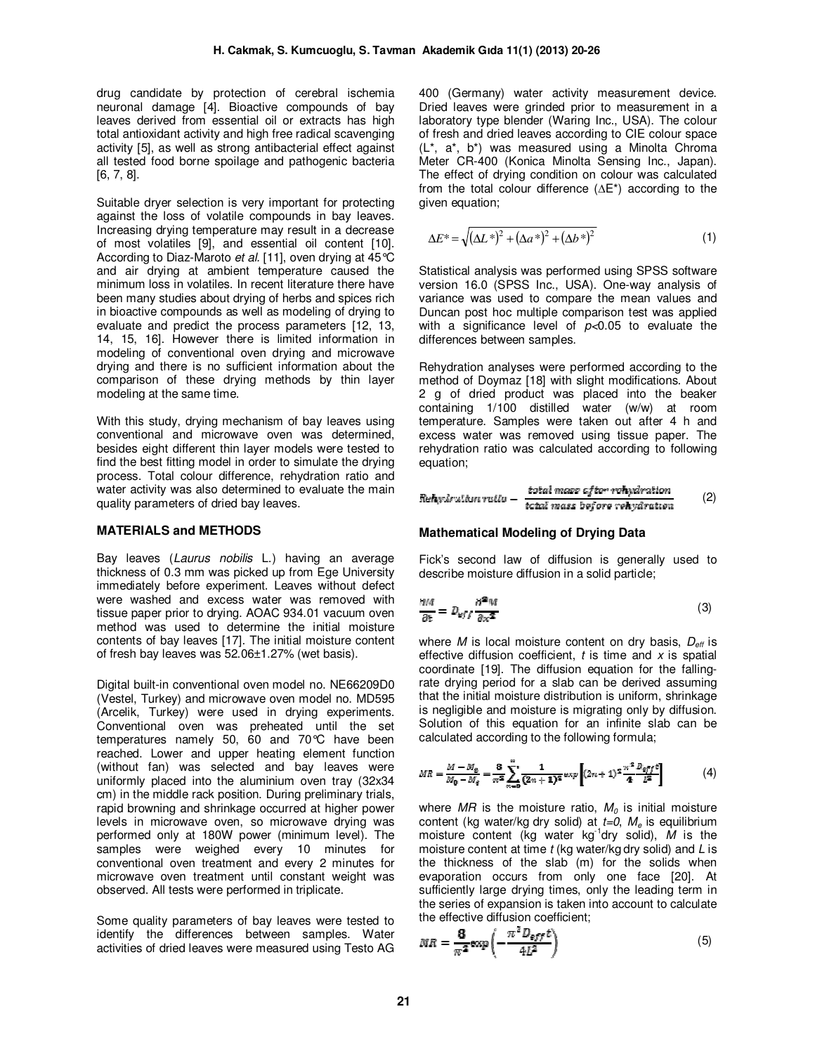drug candidate by protection of cerebral ischemia neuronal damage [4]. Bioactive compounds of bay leaves derived from essential oil or extracts has high total antioxidant activity and high free radical scavenging activity [5], as well as strong antibacterial effect against all tested food borne spoilage and pathogenic bacteria [6, 7, 8].

Suitable dryer selection is very important for protecting against the loss of volatile compounds in bay leaves. Increasing drying temperature may result in a decrease of most volatiles [9], and essential oil content [10]. According to Diaz-Maroto *et al.* [11], oven drying at 45°C and air drying at ambient temperature caused the minimum loss in volatiles. In recent literature there have been many studies about drying of herbs and spices rich in bioactive compounds as well as modeling of drying to evaluate and predict the process parameters [12, 13, 14, 15, 16]. However there is limited information in modeling of conventional oven drying and microwave drying and there is no sufficient information about the comparison of these drying methods by thin layer modeling at the same time.

With this study, drying mechanism of bay leaves using conventional and microwave oven was determined, besides eight different thin layer models were tested to find the best fitting model in order to simulate the drying process. Total colour difference, rehydration ratio and water activity was also determined to evaluate the main quality parameters of dried bay leaves.

#### **MATERIALS and METHODS**

Bay leaves (*Laurus nobilis* L.) having an average thickness of 0.3 mm was picked up from Ege University immediately before experiment. Leaves without defect were washed and excess water was removed with tissue paper prior to drying. AOAC 934.01 vacuum oven method was used to determine the initial moisture contents of bay leaves [17]. The initial moisture content of fresh bay leaves was 52.06±1.27% (wet basis).

Digital built-in conventional oven model no. NE66209D0 (Vestel, Turkey) and microwave oven model no. MD595 (Arcelik, Turkey) were used in drying experiments. Conventional oven was preheated until the set temperatures namely 50, 60 and 70°C have been reached. Lower and upper heating element function (without fan) was selected and bay leaves were uniformly placed into the aluminium oven tray (32x34 cm) in the middle rack position. During preliminary trials, rapid browning and shrinkage occurred at higher power levels in microwave oven, so microwave drying was performed only at 180W power (minimum level). The samples were weighed every 10 minutes for conventional oven treatment and every 2 minutes for microwave oven treatment until constant weight was observed. All tests were performed in triplicate.

Some quality parameters of bay leaves were tested to identify the differences between samples. Water activities of dried leaves were measured using Testo AG 400 (Germany) water activity measurement device. Dried leaves were grinded prior to measurement in a laboratory type blender (Waring Inc., USA). The colour of fresh and dried leaves according to CIE colour space (L\*, a\*, b\*) was measured using a Minolta Chroma Meter CR-400 (Konica Minolta Sensing Inc., Japan). The effect of drying condition on colour was calculated from the total colour difference (∆E\*) according to the given equation;

$$
\Delta E^* = \sqrt{(\Delta L^*)^2 + (\Delta a^*)^2 + (\Delta b^*)^2}
$$
 (1)

Statistical analysis was performed using SPSS software version 16.0 (SPSS Inc., USA). One-way analysis of variance was used to compare the mean values and Duncan post hoc multiple comparison test was applied with a significance level of *p<*0.05 to evaluate the differences between samples.

Rehydration analyses were performed according to the method of Doymaz [18] with slight modifications. About 2 g of dried product was placed into the beaker containing 1/100 distilled water (w/w) at room temperature. Samples were taken out after 4 h and excess water was removed using tissue paper. The rehydration ratio was calculated according to following equation;

$$
Rehydration ratio - \frac{total mass of term rohydration}{total mass before venydration} \qquad (2)
$$

#### **Mathematical Modeling of Drying Data**

Fick's second law of diffusion is generally used to describe moisture diffusion in a solid particle;

$$
\frac{\partial M}{\partial t} = D_{\nu f} \frac{\partial^2 M}{\partial x^2} \tag{3}
$$

where *M* is local moisture content on dry basis,  $D_{\text{eff}}$  is effective diffusion coefficient, *t* is time and *x* is spatial coordinate [19]. The diffusion equation for the fallingrate drying period for a slab can be derived assuming that the initial moisture distribution is uniform, shrinkage is negligible and moisture is migrating only by diffusion. Solution of this equation for an infinite slab can be calculated according to the following formula;

$$
MR = \frac{M - M_{\varrho}}{M_0 - M_{\varrho}} = \frac{8}{\pi^2} \sum_{n=0}^{\infty} \frac{1}{(2n+1)^2} \exp\left[ (2n+1)^2 \frac{\pi^2 D_{\varrho f f} t}{4 L^2} \right] \tag{4}
$$

where  $MR$  is the moisture ratio,  $M<sub>0</sub>$  is initial moisture content (kg water/kg dry solid) at *t=0*, *M<sup>e</sup>* is equilibrium moisture content (kg water kg-1dry solid), *M* is the moisture content at time *t* (kg water/kg dry solid) and *L* is the thickness of the slab (m) for the solids when evaporation occurs from only one face [20]. At sufficiently large drying times, only the leading term in the series of expansion is taken into account to calculate the effective diffusion coefficient;

$$
MR = \frac{\mathbf{8}}{\pi^2} \exp\left(-\frac{\pi^2 D_{\text{eff}} t}{4L^2}\right) \tag{5}
$$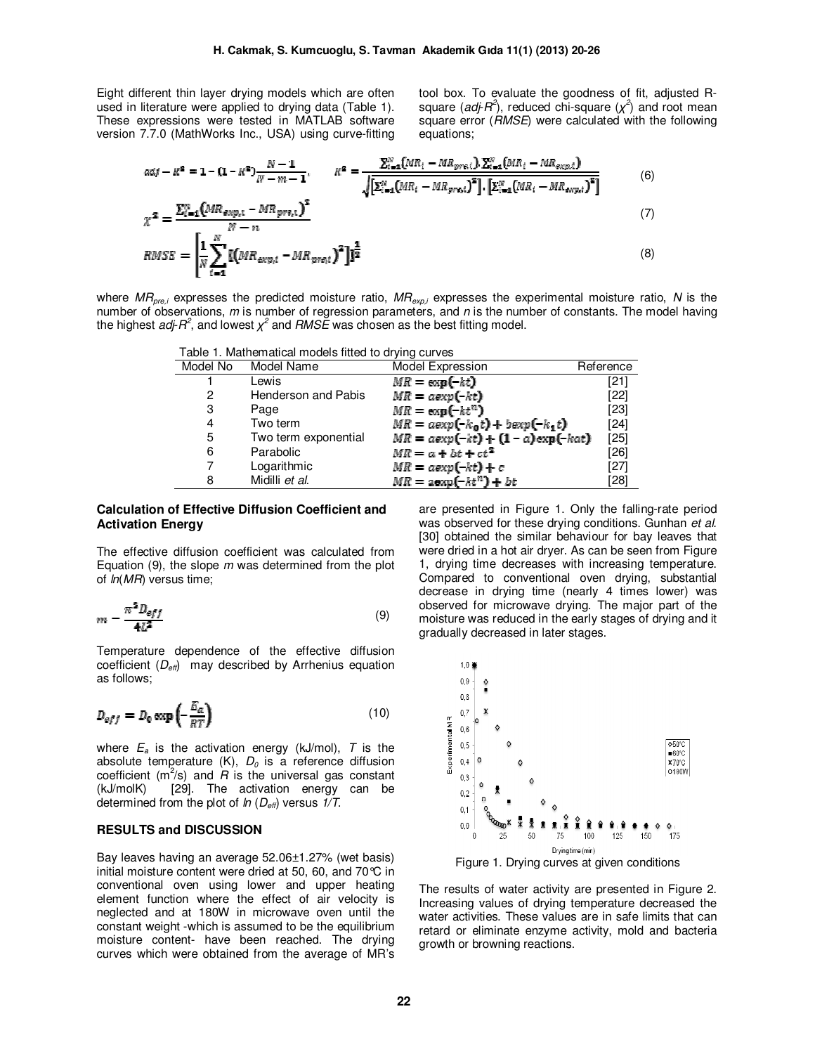Eight different thin layer drying models which are often used in literature were applied to drying data (Table 1). These expressions were tested in MATLAB software version 7.7.0 (MathWorks Inc., USA) using curve-fitting

tool box. To evaluate the goodness of fit, adjusted Rsquare (*adj-R*<sup>2</sup>), reduced chi-square ( $\chi$ <sup>2</sup>) and root mean square error (*RMSE*) were calculated with the following equations;

$$
adj - R^{2} = 1 - (1 - R^{2}) \frac{N - 1}{N - m - 1}, \qquad R^{2} = \frac{\sum_{i=1}^{N} (MR_{i} - MR_{pre,i}) \cdot \sum_{i=1}^{N} (MR_{i} - MR_{exp,i})}{\sqrt{\left[\sum_{i=1}^{N} (MR_{i} - MR_{pre,i})^{2}\right] \cdot \left[\sum_{i=1}^{N} (MR_{i} - MR_{exp,i})^{2}\right]}}
$$
(6)

$$
\chi^2 = \frac{\sum_{i=1}^{N} (MR_{exp,i} - MR_{pre,i})}{N - n}
$$
\n
$$
RMSE = \left[\frac{1}{N} \sum_{i=1}^{N} \left[ (MR_{exp,i} - MR_{pre,i})^2 \right] \right]^{\frac{1}{2}}
$$
\n(8)

where *MRpre,i* expresses the predicted moisture ratio, *MRexp,i* expresses the experimental moisture ratio, *N* is the number of observations, *m* is number of regression parameters, and *n* is the number of constants. The model having the highest *adj-R*<sup>2</sup>, and lowest  $\chi^2$  and *RMSE* was chosen as the best fitting model.

| Model No | Model Name           | Model Expression                    | Reference |
|----------|----------------------|-------------------------------------|-----------|
|          | Lewis                | $MR = \exp(-kt)$                    | [21]      |
| 2        | Henderson and Pabis  | $MR = \alpha exp(-kt)$              | [22]      |
| 3        | Page                 | $MR = \exp(-kt^n)$                  | [23]      |
| 4        | Two term             | $MR = aexp(-k_0t) + bexp(-k_1t)$    | [24]      |
| 5        | Two term exponential | $MR = aexp(-kt) + (1 - a)exp(-kat)$ | $[25]$    |
| 6        | Parabolic            | $MR = a + bt + ct^2$                | [26]      |
| 7        | Logarithmic          | $MR = aexp(-kt) + c$                | [27]      |
| 8        | Midilli et al.       | $MR = \text{aexp}(-kt^n) + bt$      | [28]      |
|          |                      |                                     |           |

#### **Calculation of Effective Diffusion Coefficient and Activation Energy**

The effective diffusion coefficient was calculated from Equation (9), the slope *m* was determined from the plot of *ln*(*MR*) versus time;

$$
m = \frac{\pi^2 D_{eff}}{4L^2} \tag{9}
$$

Temperature dependence of the effective diffusion coefficient (*Deff*) may described by Arrhenius equation as follows;

$$
D_{eff} = D_0 \exp\left(-\frac{E_a}{RT}\right) \tag{10}
$$

where *E<sup>a</sup>* is the activation energy (kJ/mol), *T* is the absolute temperature  $(K)$ ,  $D_0$  is a reference diffusion coefficient  $(m^2/s)$  and  $R$  is the universal gas constant (kJ/molK) [29]. The activation energy can be determined from the plot of *ln* (*Deff*) versus *1/T*.

#### **RESULTS and DISCUSSION**

Bay leaves having an average 52.06±1.27% (wet basis) initial moisture content were dried at 50, 60, and 70°C in conventional oven using lower and upper heating element function where the effect of air velocity is neglected and at 180W in microwave oven until the constant weight -which is assumed to be the equilibrium moisture content- have been reached. The drying curves which were obtained from the average of MR's

are presented in Figure 1. Only the falling-rate period was observed for these drying conditions. Gunhan *et al.* [30] obtained the similar behaviour for bay leaves that were dried in a hot air dryer. As can be seen from Figure 1, drying time decreases with increasing temperature. Compared to conventional oven drying, substantial decrease in drying time (nearly 4 times lower) was observed for microwave drying. The major part of the moisture was reduced in the early stages of drying and it gradually decreased in later stages.



Figure 1. Drying curves at given conditions

The results of water activity are presented in Figure 2. Increasing values of drying temperature decreased the water activities. These values are in safe limits that can retard or eliminate enzyme activity, mold and bacteria growth or browning reactions.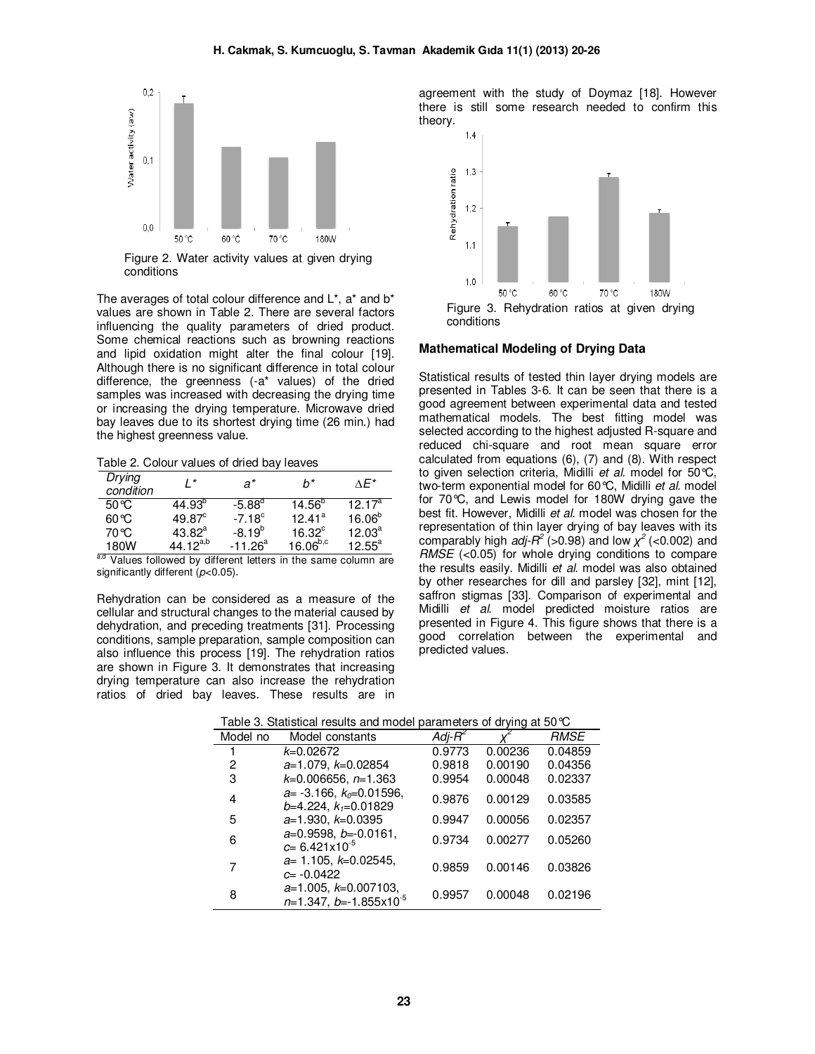

conditions

The averages of total colour difference and  $L^*$ , a<sup>\*</sup> and  $b^*$ values are shown in Table 2. There are several factors influencing the quality parameters of dried product. Some chemical reactions such as browning reactions and lipid oxidation might alter the final colour [19]. Although there is no significant difference in total colour difference, the greenness (-a\* values) of the dried samples was increased with decreasing the drying time or increasing the drying temperature. Microwave dried bay leaves due to its shortest drying time (26 min.) had the highest greenness value.

Table 2. Colour values of dried bay leaves

| Drying<br>condition | $\prime^*$      | a*              | $h^*$           | $\wedge F^*$       |
|---------------------|-----------------|-----------------|-----------------|--------------------|
| $50^{\circ}$ C      | $44.93^{p}$     | $-5.88^{\circ}$ | $14.56^{p}$     | 12.17 <sup>a</sup> |
| $60^{\circ}$ C      | $49.87^{\circ}$ | $-7.18^{\circ}$ | $12.41^a$       | $16.06^{b}$        |
| 70 °C               | $43.82^a$       | $-8.19^{b}$     | $16.32^{\circ}$ | $12.03^a$          |
| 180W                | 44.12 $a,b$     | $-11.26^a$      | $16.06^{b,c}$   | $12.55^a$          |

a,d Values followed by different letters in the same column are significantly different (*p*<0.05).

Rehydration can be considered as a measure of the cellular and structural changes to the material caused by dehydration, and preceding treatments [31]. Processing conditions, sample preparation, sample composition can also influence this process [19]. The rehydration ratios are shown in Figure 3. It demonstrates that increasing drying temperature can also increase the rehydration ratios of dried bay leaves. These results are in

agreement with the study of Doymaz [18]. However there is still some research needed to confirm this theory.



#### **Mathematical Modeling of Drying Data**

Statistical results of tested thin layer drying models are presented in Tables 3-6. It can be seen that there is a good agreement between experimental data and tested mathematical models. The best fitting model was selected according to the highest adjusted R-square and reduced chi-square and root mean square error calculated from equations (6), (7) and (8). With respect to given selection criteria, Midilli *et al.* model for 50°C, two-term exponential model for 60°C, Midilli *et al.* model for 70°C, and Lewis model for 180W drying gave the best fit. However, Midilli *et al.* model was chosen for the representation of thin layer drying of bay leaves with its comparably high  $adj-R^2$  (>0.98) and low  $\chi^2$  (<0.002) and *RMSE* (<0.05) for whole drying conditions to compare the results easily. Midilli *et al.* model was also obtained by other researches for dill and parsley [32], mint [12], saffron stigmas [33]. Comparison of experimental and Midilli *et al.* model predicted moisture ratios are presented in Figure 4. This figure shows that there is a good correlation between the experimental and predicted values.

| rabic of Glandical results and moder parameters or arying at 50 G |                                                            |                    |         |             |
|-------------------------------------------------------------------|------------------------------------------------------------|--------------------|---------|-------------|
| Model no                                                          | Model constants                                            | Adj-R <sup>2</sup> |         | <b>RMSE</b> |
|                                                                   | $k=0.02672$                                                | 0.9773             | 0.00236 | 0.04859     |
| 2                                                                 | $a=1.079, k=0.02854$                                       | 0.9818             | 0.00190 | 0.04356     |
| 3                                                                 | $k=0.006656$ , $n=1.363$                                   | 0.9954             | 0.00048 | 0.02337     |
| 4                                                                 | $a=$ -3.166, $k_0=0.01596$ ,<br>$b=4.224, k_1=0.01829$     | 0.9876             | 0.00129 | 0.03585     |
| 5                                                                 | $a=1.930, k=0.0395$                                        | 0.9947             | 0.00056 | 0.02357     |
| 6                                                                 | $a=0.9598, b=-0.0161,$<br>$c = 6.421 \times 10^{-5}$       | 0.9734             | 0.00277 | 0.05260     |
| 7                                                                 | $a=1.105, k=0.02545,$<br>$c = -0.0422$                     | 0.9859             | 0.00146 | 0.03826     |
| 8                                                                 | $a=1.005, k=0.007103,$<br>$n=1.347, b=-1.855\times10^{-5}$ | 0.9957             | 0.00048 | 0.02196     |

Table 3. Statistical results and model parameters of drying at 50°C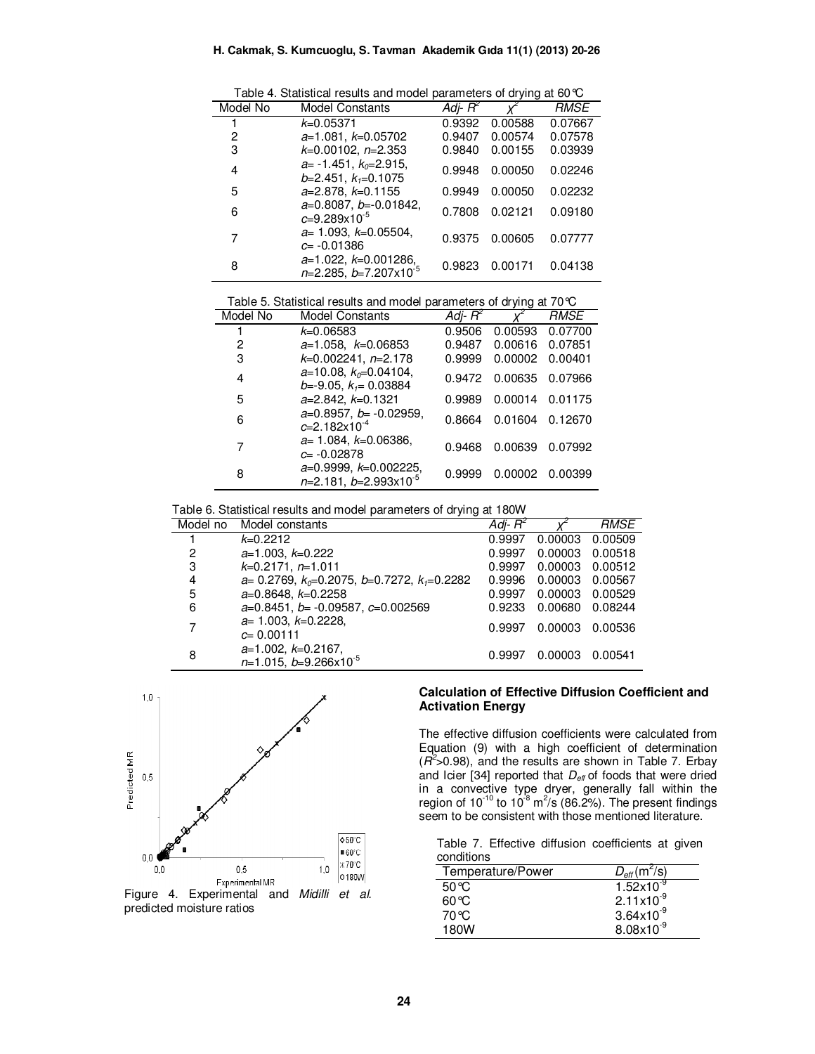|  | Table 4. Statistical results and model parameters of drying at 60 $\degree$ C |  |  |  |  |  |
|--|-------------------------------------------------------------------------------|--|--|--|--|--|
|--|-------------------------------------------------------------------------------|--|--|--|--|--|

| Model No | <b>Model Constants</b>                                    | $Adi-R^2$ |         | <i>RMSE</i> |
|----------|-----------------------------------------------------------|-----------|---------|-------------|
|          | $k = 0.05371$                                             | 0.9392    | 0.00588 | 0.07667     |
| 2        | $a=1.081, k=0.05702$                                      | 0.9407    | 0.00574 | 0.07578     |
| 3        | $k=0.00102$ , $n=2.353$                                   | 0.9840    | 0.00155 | 0.03939     |
| 4        | $a= -1.451$ , $k_0=2.915$ ,<br>$b=2.451, k_1=0.1075$      | 0.9948    | 0.00050 | 0.02246     |
| 5        | $a=2.878, k=0.1155$                                       | 0.9949    | 0.00050 | 0.02232     |
| 6        | $a=0.8087, b=-0.01842,$<br>$c = 9.289 \times 10^{-5}$     | 0.7808    | 0.02121 | 0.09180     |
| 7        | $a=1.093, k=0.05504,$<br>$c = -0.01386$                   | 0.9375    | 0.00605 | 0.07777     |
| 8        | $a=1.022, k=0.001286,$<br>$n=2.285, b=7.207\times10^{-5}$ | 0.9823    | 0.00171 | 0.04138     |

Table 5. Statistical results and model parameters of drying at 70°C

| Model No | <b>Model Constants</b>                                | Adj- $R^2$ |         | <b>RMSE</b> |
|----------|-------------------------------------------------------|------------|---------|-------------|
|          | $k = 0.06583$                                         | 0.9506     | 0.00593 | 0.07700     |
| 2        | $a=1.058, k=0.06853$                                  | 0.9487     | 0.00616 | 0.07851     |
| 3        | $k=0.002241$ , n=2.178                                | 0.9999     | 0.00002 | 0.00401     |
| 4        | $a=10.08, k_0=0.04104,$<br>$b=-9.05$ , $k_1=0.03884$  | 0.9472     | 0.00635 | 0.07966     |
| 5        | $a=2.842, k=0.1321$                                   | 0.9989     | 0.00014 | 0.01175     |
| 6        | $a=0.8957, b=0.02959,$<br>$c = 2.182 \times 10^{-4}$  | 0.8664     | 0.01604 | 0.12670     |
|          | $a=1.084, k=0.06386,$<br>$c = -0.02878$               | 0.9468     | 0.00639 | 0.07992     |
| 8        | $a=0.9999, k=0.002225,$<br>$n=2.181, b=2.993x10^{-5}$ | 0.9999     | 0.00002 | 0.00399     |

Table 6. Statistical results and model parameters of drying at 180W

| Model no | ~<br>Model constants                                       | Adj- $R^2$ |         | <b>RMSE</b> |
|----------|------------------------------------------------------------|------------|---------|-------------|
|          | $k=0.2212$                                                 | 0.9997     | 0.00003 | 0.00509     |
| 2        | $a=1.003, k=0.222$                                         | 0.9997     | 0.00003 | 0.00518     |
| 3        | $k=0.2171, n=1.011$                                        | 0.9997     | 0.00003 | 0.00512     |
| 4        | $a=0.2769$ , $k_0=0.2075$ , $b=0.7272$ , $k_1=0.2282$      | 0.9996     | 0.00003 | 0.00567     |
| 5        | $a=0.8648, k=0.2258$                                       | 0.9997     | 0.00003 | 0.00529     |
| 6        | $a=0.8451$ , $b=-0.09587$ , $c=0.002569$                   | 0.9233     | 0.00680 | 0.08244     |
| 7        | $a=1.003, k=0.2228,$<br>$c = 0.00111$                      | 0.9997     | 0.00003 | 0.00536     |
| 8        | $a=1.002, k=0.2167,$<br>$n=1.015$ , $b=9.266\times10^{-5}$ | 0.9997     | 0.00003 | 0.00541     |



 $\overline{a}$ 



#### **Calculation of Effective Diffusion Coefficient and Activation Energy**

The effective diffusion coefficients were calculated from Equation (9) with a high coefficient of determination (*R 2* >0.98), and the results are shown in Table 7. Erbay and Icier [34] reported that *Deff* of foods that were dried in a convective type dryer, generally fall within the region of 10<sup>-10</sup> to 10<sup>-8</sup> m<sup>2</sup>/s (86.2%). The present findings seem to be consistent with those mentioned literature.

Table 7. Effective diffusion coefficients at given conditions

| Temperature/Power | $D_{\text{eff}}$ (m <sup>2</sup> /s) |
|-------------------|--------------------------------------|
| 50 $\degree$ C    | $1.52\times10^{-9}$                  |
| 60 °C             | $2.11 \times 10^{-9}$                |
| 70 ℃              | $3.64 \times 10^{-9}$                |
| 180W              | $8.08\times10^{-9}$                  |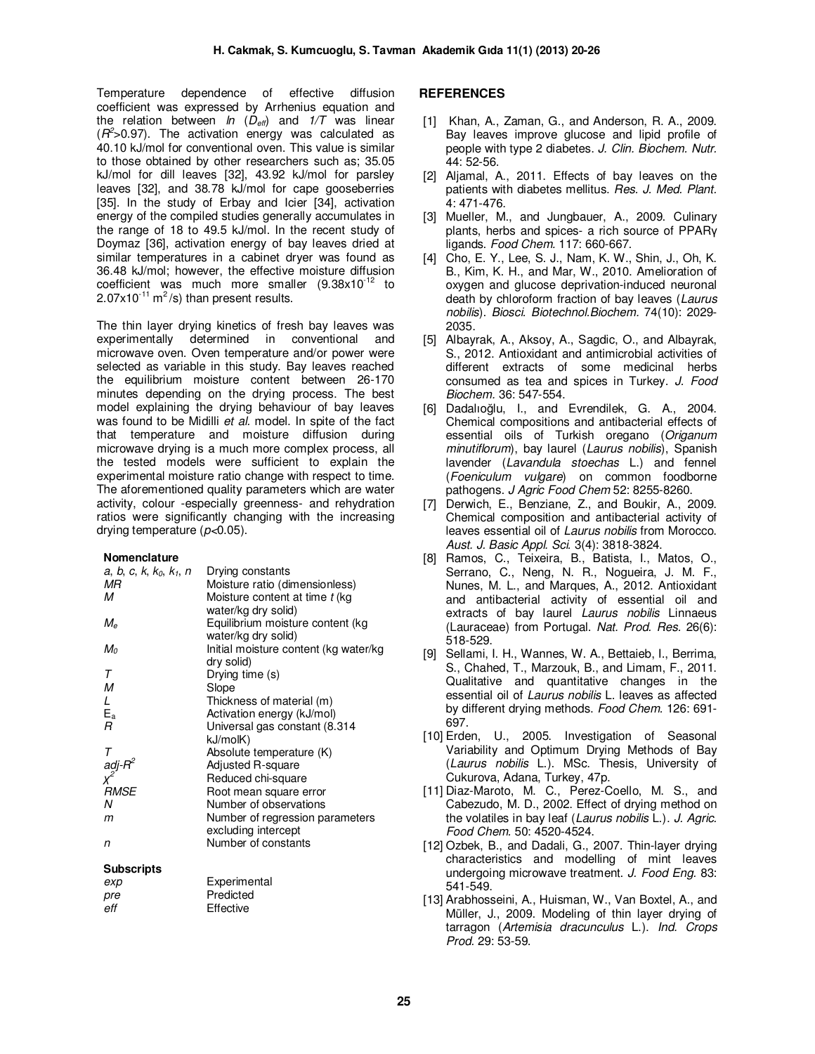Temperature dependence of effective diffusion coefficient was expressed by Arrhenius equation and the relation between *ln* ( $D_{\text{eff}}$ ) and  $1/T$  was linear  $(R<sup>2</sup> > 0.97)$ . The activation energy was calculated as 40.10 kJ/mol for conventional oven. This value is similar to those obtained by other researchers such as; 35.05 kJ/mol for dill leaves [32], 43.92 kJ/mol for parsley leaves [32], and 38.78 kJ/mol for cape gooseberries [35]. In the study of Erbay and Icier [34], activation energy of the compiled studies generally accumulates in the range of 18 to 49.5 kJ/mol. In the recent study of Doymaz [36], activation energy of bay leaves dried at similar temperatures in a cabinet dryer was found as 36.48 kJ/mol; however, the effective moisture diffusion coefficient was much more smaller  $(9.38 \times 10^{-12}$  to  $2.07 \times 10^{-11}$  m<sup>2</sup>/s) than present results.

The thin layer drying kinetics of fresh bay leaves was experimentally determined in conventional and microwave oven. Oven temperature and/or power were selected as variable in this study. Bay leaves reached the equilibrium moisture content between 26-170 minutes depending on the drying process. The best model explaining the drying behaviour of bay leaves was found to be Midilli *et al.* model. In spite of the fact that temperature and moisture diffusion during microwave drying is a much more complex process, all the tested models were sufficient to explain the experimental moisture ratio change with respect to time. The aforementioned quality parameters which are water activity, colour -especially greenness- and rehydration ratios were significantly changing with the increasing drying temperature (*p<*0.05).

#### **Nomenclature**

| a, b, c, k, $k_0$ , $k_1$ , n             | Drying constants                      |
|-------------------------------------------|---------------------------------------|
| МR                                        | Moisture ratio (dimensionless)        |
| м                                         | Moisture content at time t (kg)       |
|                                           | water/kg dry solid)                   |
| $M_{\rm e}$                               | Equilibrium moisture content (kg      |
|                                           | water/kg dry solid)                   |
|                                           |                                       |
| M <sub>0</sub>                            | Initial moisture content (kg water/kg |
|                                           | dry solid)                            |
| T                                         | Drying time (s)                       |
| М                                         | Slope                                 |
| L                                         | Thickness of material (m)             |
| E <sub>a</sub>                            | Activation energy (kJ/mol)            |
|                                           |                                       |
| R                                         | Universal gas constant (8.314)        |
|                                           | kJ/molK)                              |
|                                           | Absolute temperature (K)              |
|                                           | <b>Adjusted R-square</b>              |
| T<br>adj-R <sup>2</sup><br>X <sup>2</sup> | Reduced chi-square                    |
| RMSE                                      |                                       |
|                                           | Root mean square error                |
| N                                         | Number of observations                |
| m                                         | Number of regression parameters       |
|                                           | excluding intercept                   |
| n                                         | Number of constants                   |
|                                           |                                       |
|                                           |                                       |

#### **Subscripts**

| Experimental |
|--------------|
| Predicted    |
| Effective    |
|              |

#### **REFERENCES**

- [1] Khan, A., Zaman, G., and Anderson, R. A., 2009. Bay leaves improve glucose and lipid profile of people with type 2 diabetes. *J. Clin. Biochem. Nutr.*  44: 52-56.
- [2] Aljamal, A., 2011. Effects of bay leaves on the patients with diabetes mellitus. *Res. J. Med. Plant.* 4: 471-476.
- [3] Mueller, M., and Jungbauer, A., 2009. Culinary plants, herbs and spices- a rich source of PPARγ ligands. *Food Chem.* 117: 660-667.
- [4] Cho, E. Y., Lee, S. J., Nam, K. W., Shin, J., Oh, K. B., Kim, K. H., and Mar, W., 2010. Amelioration of oxygen and glucose deprivation-induced neuronal death by chloroform fraction of bay leaves (*Laurus nobilis*). *Biosci. Biotechnol.Biochem.* 74(10): 2029- 2035.
- [5] Albayrak, A., Aksoy, A., Sagdic, O., and Albayrak, S., 2012. Antioxidant and antimicrobial activities of different extracts of some medicinal herbs consumed as tea and spices in Turkey. *J. Food Biochem.* 36: 547-554.
- [6] Dadalıoğlu, I., and Evrendilek, G. A., 2004. Chemical compositions and antibacterial effects of essential oils of Turkish oregano (*Origanum minutiflorum*), bay laurel (*Laurus nobilis*), Spanish lavender (*Lavandula stoechas* L.) and fennel (*Foeniculum vulgare*) on common foodborne pathogens. *J Agric Food Chem* 52: 8255-8260.
- [7] Derwich, E., Benziane, Z., and Boukir, A., 2009. Chemical composition and antibacterial activity of leaves essential oil of *Laurus nobilis* from Morocco. *Aust. J. Basic Appl. Sci.* 3(4): 3818-3824.
- [8] Ramos, C., Teixeira, B., Batista, I., Matos, O., Serrano, C., Neng, N. R., Nogueira, J. M. F., Nunes, M. L., and Marques, A., 2012. Antioxidant and antibacterial activity of essential oil and extracts of bay laurel *Laurus nobilis* Linnaeus (Lauraceae) from Portugal. *Nat. Prod. Res.* 26(6): 518-529.
- [9] Sellami, I. H., Wannes, W. A., Bettaieb, I., Berrima, S., Chahed, T., Marzouk, B., and Limam, F., 2011. Qualitative and quantitative changes in the essential oil of *Laurus nobilis* L. leaves as affected by different drying methods. *Food Chem.* 126: 691- 697.
- [10] Erden, U., 2005. Investigation of Seasonal Variability and Optimum Drying Methods of Bay (*Laurus nobilis* L.). MSc. Thesis, University of Cukurova, Adana, Turkey, 47p.
- [11] Diaz-Maroto, M. C., Perez-Coello, M. S., and Cabezudo, M. D., 2002. Effect of drying method on the volatiles in bay leaf (*Laurus nobilis* L.). *J. Agric. Food Chem.* 50: 4520-4524.
- [12] Ozbek, B., and Dadali, G., 2007. Thin-layer drying characteristics and modelling of mint leaves undergoing microwave treatment. *J. Food Eng.* 83: 541-549.
- [13] Arabhosseini, A., Huisman, W., Van Boxtel, A., and Müller, J., 2009. Modeling of thin layer drying of tarragon (*Artemisia dracunculus* L.). *Ind. Crops Prod.* 29: 53-59.